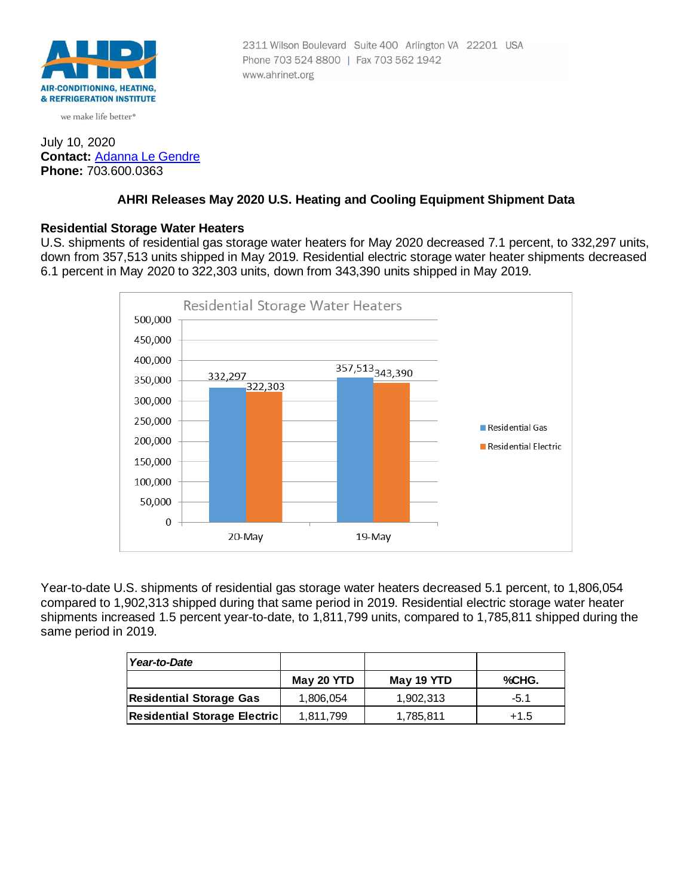

we make life better<sup>®</sup>

### July 10, 2020 **Contact:** [Adanna Le Gendre](mailto:AleGendre@ahrinet.org) **Phone:** 703.600.0363

### **AHRI Releases May 2020 U.S. Heating and Cooling Equipment Shipment Data**

Phone 703 524 8800 | Fax 703 562 1942

www.ahrinet.org

2311 Wilson Boulevard Suite 400 Arlington VA 22201 USA

#### **Residential Storage Water Heaters**

U.S. shipments of residential gas storage water heaters for May 2020 decreased 7.1 percent, to 332,297 units, down from 357,513 units shipped in May 2019. Residential electric storage water heater shipments decreased 6.1 percent in May 2020 to 322,303 units, down from 343,390 units shipped in May 2019.



Year-to-date U.S. shipments of residential gas storage water heaters decreased 5.1 percent, to 1,806,054 compared to 1,902,313 shipped during that same period in 2019. Residential electric storage water heater shipments increased 1.5 percent year-to-date, to 1,811,799 units, compared to 1,785,811 shipped during the same period in 2019.

| Year-to-Date                        |            |            |        |
|-------------------------------------|------------|------------|--------|
|                                     | May 20 YTD | May 19 YTD | %CHG.  |
| <b>Residential Storage Gas</b>      | 1,806,054  | 1.902.313  | $-5.1$ |
| <b>Residential Storage Electric</b> | 1.811.799  | 1,785,811  | $+1.5$ |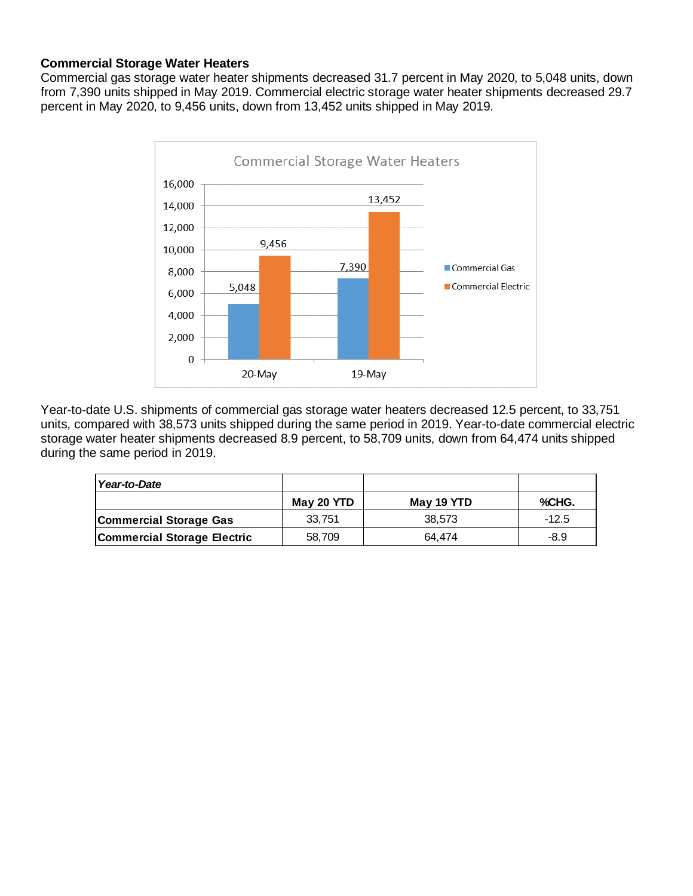# **Commercial Storage Water Heaters**

Commercial gas storage water heater shipments decreased 31.7 percent in May 2020, to 5,048 units, down from 7,390 units shipped in May 2019. Commercial electric storage water heater shipments decreased 29.7 percent in May 2020, to 9,456 units, down from 13,452 units shipped in May 2019.



Year-to-date U.S. shipments of commercial gas storage water heaters decreased 12.5 percent, to 33,751 units, compared with 38,573 units shipped during the same period in 2019. Year-to-date commercial electric storage water heater shipments decreased 8.9 percent, to 58,709 units, down from 64,474 units shipped during the same period in 2019.

| Year-to-Date                       |            |            |         |
|------------------------------------|------------|------------|---------|
|                                    | May 20 YTD | May 19 YTD | %CHG.   |
| <b>Commercial Storage Gas</b>      | 33.751     | 38.573     | $-12.5$ |
| <b>Commercial Storage Electric</b> | 58,709     | 64.474     | -8.9    |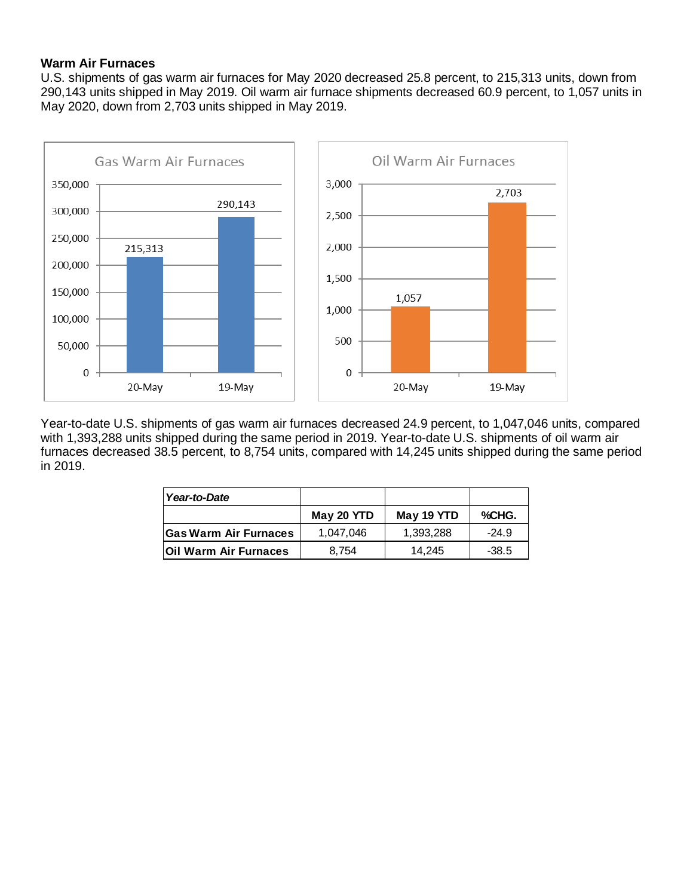## **Warm Air Furnaces**

U.S. shipments of gas warm air furnaces for May 2020 decreased 25.8 percent, to 215,313 units, down from 290,143 units shipped in May 2019. Oil warm air furnace shipments decreased 60.9 percent, to 1,057 units in May 2020, down from 2,703 units shipped in May 2019.



Year-to-date U.S. shipments of gas warm air furnaces decreased 24.9 percent, to 1,047,046 units, compared with 1,393,288 units shipped during the same period in 2019. Year-to-date U.S. shipments of oil warm air furnaces decreased 38.5 percent, to 8,754 units, compared with 14,245 units shipped during the same period in 2019.

| Year-to-Date                 |            |            |         |
|------------------------------|------------|------------|---------|
|                              | May 20 YTD | May 19 YTD | %CHG.   |
| <b>Gas Warm Air Furnaces</b> | 1.047.046  | 1,393,288  | $-24.9$ |
| <b>Oil Warm Air Furnaces</b> | 8.754      | 14.245     | $-38.5$ |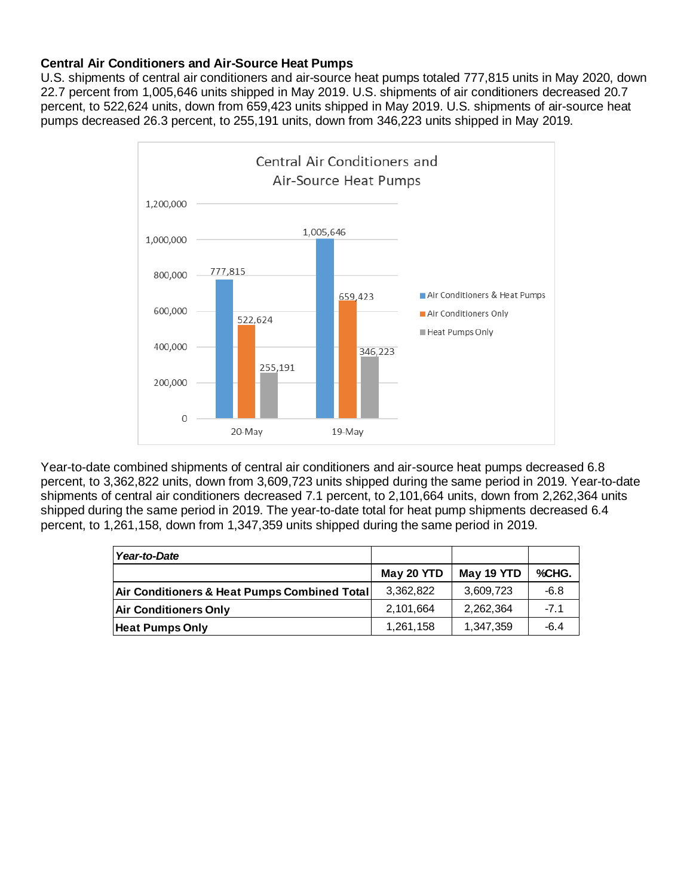## **Central Air Conditioners and Air-Source Heat Pumps**

U.S. shipments of central air conditioners and air-source heat pumps totaled 777,815 units in May 2020, down 22.7 percent from 1,005,646 units shipped in May 2019. U.S. shipments of air conditioners decreased 20.7 percent, to 522,624 units, down from 659,423 units shipped in May 2019. U.S. shipments of air-source heat pumps decreased 26.3 percent, to 255,191 units, down from 346,223 units shipped in May 2019.



Year-to-date combined shipments of central air conditioners and air-source heat pumps decreased 6.8 percent, to 3,362,822 units, down from 3,609,723 units shipped during the same period in 2019. Year-to-date shipments of central air conditioners decreased 7.1 percent, to 2,101,664 units, down from 2,262,364 units shipped during the same period in 2019. The year-to-date total for heat pump shipments decreased 6.4 percent, to 1,261,158, down from 1,347,359 units shipped during the same period in 2019.

| Year-to-Date                                 |            |            |        |
|----------------------------------------------|------------|------------|--------|
|                                              | May 20 YTD | May 19 YTD | %CHG.  |
| Air Conditioners & Heat Pumps Combined Total | 3.362.822  | 3,609,723  | $-6.8$ |
| <b>Air Conditioners Only</b>                 | 2,101,664  | 2,262,364  | $-7.1$ |
| <b>Heat Pumps Only</b>                       | 1,261,158  | 1,347,359  | -6.4   |